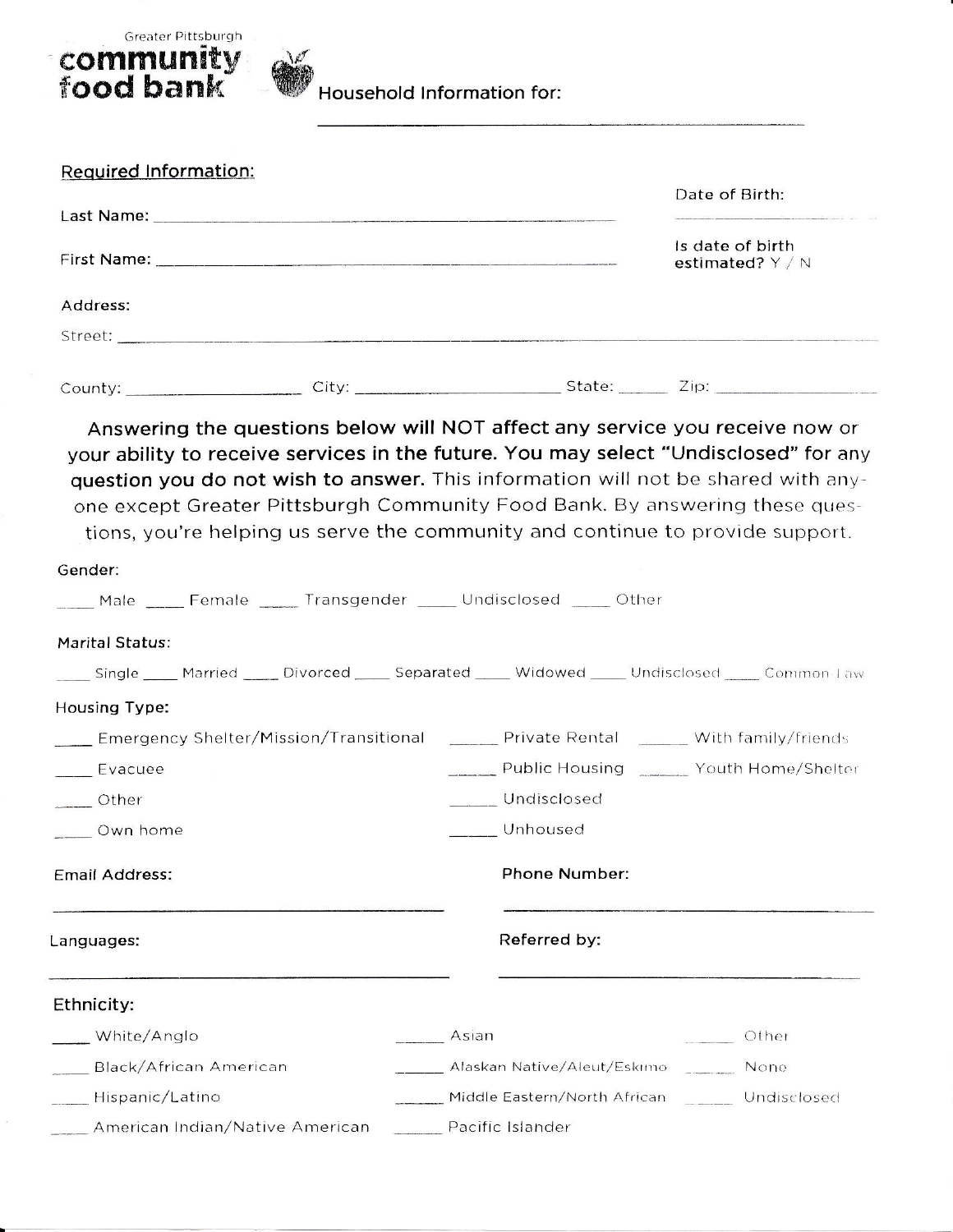

L

تقدم

Household Information for:

| <b>Required Information:</b>                                                                                                                                                                                                                                                                                                                                                                                              |       |                      |                                                |
|---------------------------------------------------------------------------------------------------------------------------------------------------------------------------------------------------------------------------------------------------------------------------------------------------------------------------------------------------------------------------------------------------------------------------|-------|----------------------|------------------------------------------------|
|                                                                                                                                                                                                                                                                                                                                                                                                                           |       |                      | Date of Birth:                                 |
|                                                                                                                                                                                                                                                                                                                                                                                                                           |       |                      | Is date of birth<br>estimated? $Y / N$         |
| Address:                                                                                                                                                                                                                                                                                                                                                                                                                  |       |                      |                                                |
|                                                                                                                                                                                                                                                                                                                                                                                                                           |       |                      |                                                |
| County: County: City: City: City: City: County: County: County: County: County: County: City: City: City: City: City: City: City: County: City: City: City: City: City: City: City: City: City: City: City: City: City: City:                                                                                                                                                                                             |       |                      |                                                |
| Answering the questions below will NOT affect any service you receive now or<br>your ability to receive services in the future. You may select "Undisclosed" for any<br>question you do not wish to answer. This information will not be shared with any-<br>one except Greater Pittsburgh Community Food Bank. By answering these ques-<br>tions, you're helping us serve the community and continue to provide support. |       |                      |                                                |
| Gender:<br>Male _____ Female _____ Transgender _____ Undisclosed _____ Other                                                                                                                                                                                                                                                                                                                                              |       |                      |                                                |
| Marital Status:                                                                                                                                                                                                                                                                                                                                                                                                           |       |                      |                                                |
| _____ Single _____ Married _____ Divorced _____ Separated _____ Widowed _____ Undisclosed _____ Common-Law                                                                                                                                                                                                                                                                                                                |       |                      |                                                |
| Housing Type:                                                                                                                                                                                                                                                                                                                                                                                                             |       |                      |                                                |
| Emergency Shelter/Mission/Transitional ______ Private Rental _____ With family/friends                                                                                                                                                                                                                                                                                                                                    |       |                      |                                                |
| __ Evacuee                                                                                                                                                                                                                                                                                                                                                                                                                |       |                      | _____ Public Housing ______ Youth Home/Shelter |
| $\rule{1em}{0.15mm}$ Other                                                                                                                                                                                                                                                                                                                                                                                                |       | Undisclosed          |                                                |
| ___ Own home                                                                                                                                                                                                                                                                                                                                                                                                              |       | Unhoused             |                                                |
| <b>Email Address:</b>                                                                                                                                                                                                                                                                                                                                                                                                     |       | <b>Phone Number:</b> |                                                |
| Languages:                                                                                                                                                                                                                                                                                                                                                                                                                |       | Referred by:         |                                                |
| Ethnicity:                                                                                                                                                                                                                                                                                                                                                                                                                |       |                      |                                                |
| White/Anglo                                                                                                                                                                                                                                                                                                                                                                                                               | Asian |                      | Other                                          |

| Black/African American          | Alaskan Native/Aleut/Eskimo  | None        |
|---------------------------------|------------------------------|-------------|
| Hispanic/Latino                 | Middle Eastern/North African | Undisclosed |
| American Indian/Native American | Pacific Islander             |             |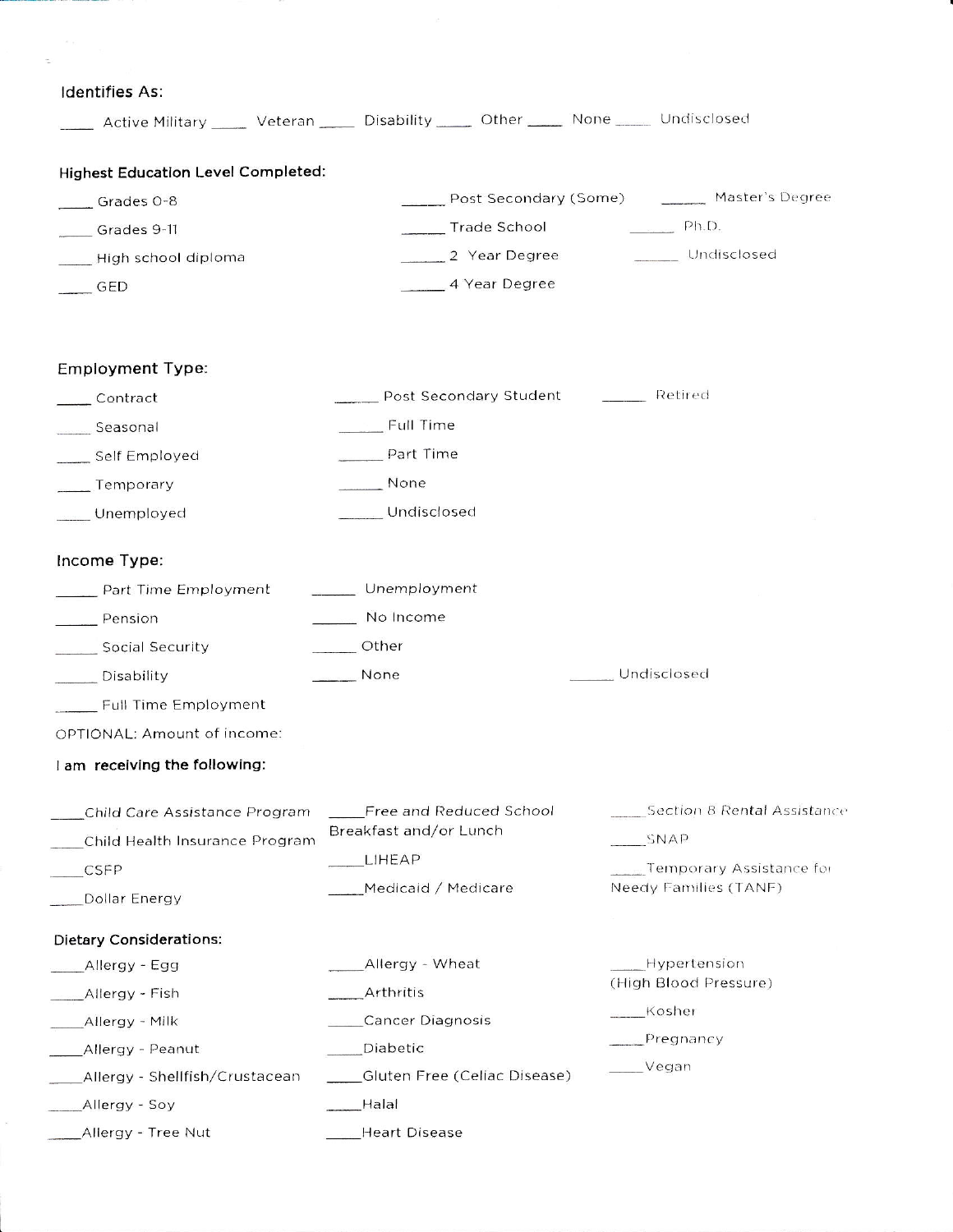|  |  | Identifies As: |  |  |
|--|--|----------------|--|--|
|  |  |                |  |  |

s.

 $\tilde{\epsilon}$ 

|                                                                                                                                                                                                                                                                                | Active Military _____ Veteran _____ Disability _____ Other _____ None _____ Undisclosed                                                                                                                              |                                                                                                                                                                               |
|--------------------------------------------------------------------------------------------------------------------------------------------------------------------------------------------------------------------------------------------------------------------------------|----------------------------------------------------------------------------------------------------------------------------------------------------------------------------------------------------------------------|-------------------------------------------------------------------------------------------------------------------------------------------------------------------------------|
|                                                                                                                                                                                                                                                                                |                                                                                                                                                                                                                      |                                                                                                                                                                               |
| <b>Highest Education Level Completed:</b><br>$Grades$ O-8<br>Grades 9-11<br>High school diploma<br>GED<br><b>Employment Type:</b><br>$\overline{\phantom{0}}$ Contract<br>Seasonal                                                                                             | ______ Trade School<br>2 Year Degree<br>4 Year Degree<br>____ Post Secondary Student ________ Retired<br>Full Time                                                                                                   | Post Secondary (Some) ________ Master's Degree<br>Ph.D.<br>Undisclosed                                                                                                        |
| ___ Self Employed<br>Temporary<br>Unemployed<br>Income Type:<br>Part Time Employment<br>Pension<br>Social Security<br>___ Disability<br><b>Eull Time Employment</b><br>OPTIONAL: Amount of income:<br>I am receiving the following:                                            | Part Time<br>None<br>______ Undisclosed<br>_____ Unemployment<br>No Income<br><b>Other</b><br>None                                                                                                                   | Undisclosed                                                                                                                                                                   |
| Child Care Assistance Program<br>Child Health Insurance Program<br>CSFP<br>Dollar Energy<br><b>Dietary Considerations:</b><br>Allergy - Egg<br>_Allergy - Fish<br>Allergy - Milk<br>_Allergy - Peanut<br>Allergy - Shellfish/Crustacean<br>Allergy - Soy<br>Allergy - Tree Nut | Free and Reduced School<br>Breakfast and/or Lunch<br>LIHEAP<br>Medicaid / Medicare<br>_Allergy - Wheat<br>Arthritis<br>Cancer Diagnosis<br>Diabetic<br>Gluten Free (Celiac Disease)<br>Halal<br><b>Heart Disease</b> | ____Section 8 Rental Assistance<br>SNAP<br>Temporary Assistance for<br><b>Needy Families (TANF)</b><br>Hypertension<br>(High Blood Pressure)<br>_Kosher<br>Pregnancy<br>Vegan |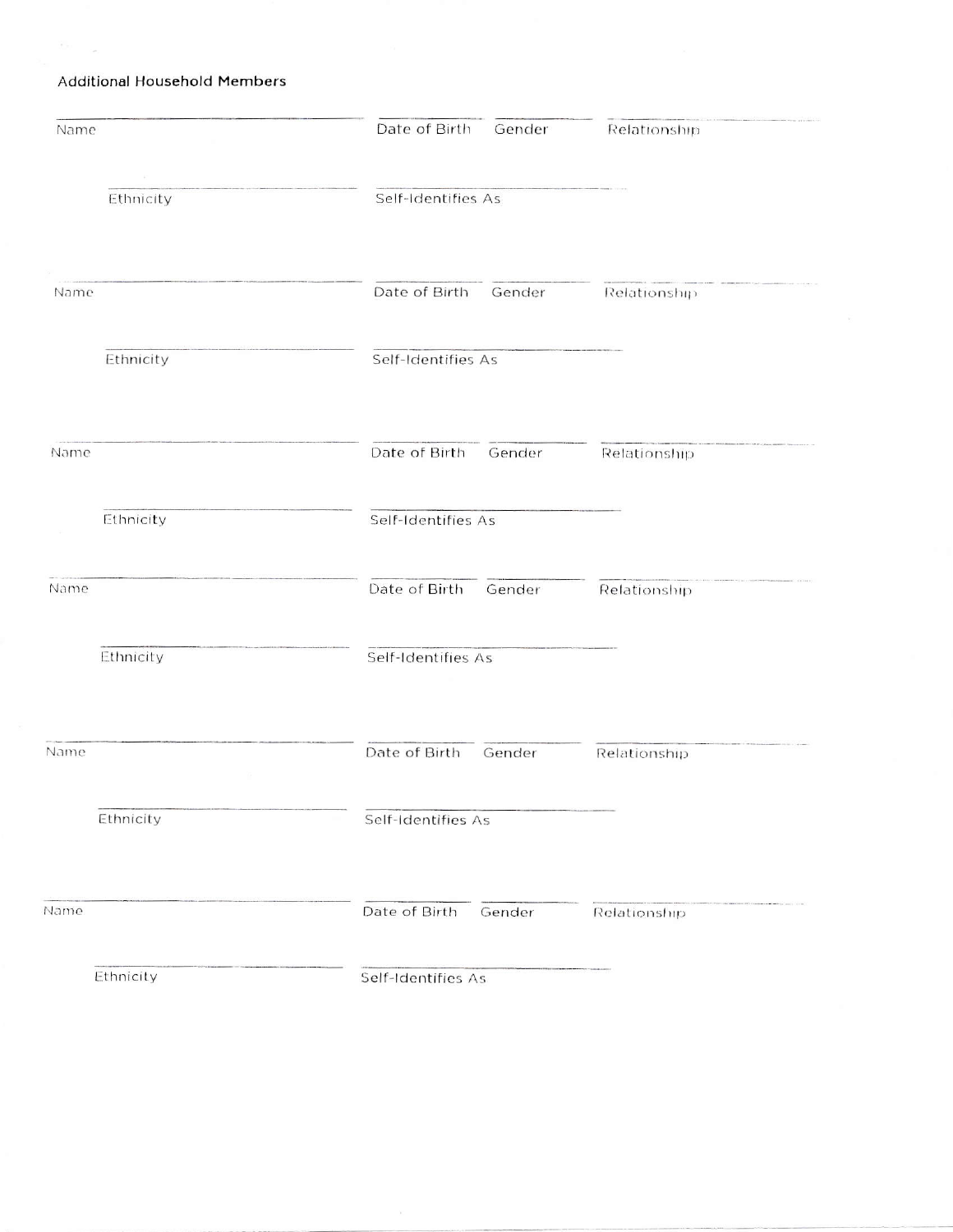**Additional Household Members** 

| Name      | Date of Birth<br>Gender | Relationship |
|-----------|-------------------------|--------------|
| Ethnicity | Self-Identifies As      |              |
| Name      | Date of Birth<br>Gender | Relationship |
| Ethnicity | Self-Identifies As      |              |
| Name      | Date of Birth<br>Gender | Relationship |
| Ethnicity | Self-Identifies As      |              |
| Name      | Date of Birth<br>Gender | Relationship |
| Ethnicity | Self-Identifies As      |              |
| Name      | Date of Birth<br>Gender | Relationship |
| Ethnicity | Self-Identifies As      |              |
| Name      | Date of Birth<br>Gender | Relationship |
| Ethnicity | Self-Identifies As      |              |

 $\mathcal{F}(\mathcal{A})$  .